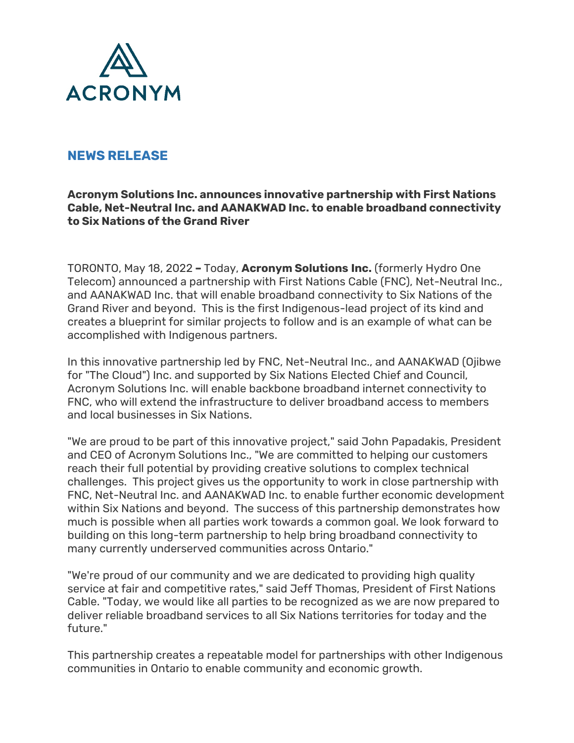

# **NEWS RELEASE**

#### **Acronym Solutions Inc. announces innovative partnership with First Nations Cable, Net-Neutral Inc. and AANAKWAD Inc. to enable broadband connectivity to Six Nations of the Grand River**

TORONTO, May 18, 2022 **–** Today, **Acronym Solutions Inc.** (formerly Hydro One Telecom) announced a partnership with First Nations Cable (FNC), Net-Neutral Inc., and AANAKWAD Inc. that will enable broadband connectivity to Six Nations of the Grand River and beyond. This is the first Indigenous-lead project of its kind and creates a blueprint for similar projects to follow and is an example of what can be accomplished with Indigenous partners.

In this innovative partnership led by FNC, Net-Neutral Inc., and AANAKWAD (Ojibwe for "The Cloud") Inc. and supported by Six Nations Elected Chief and Council, Acronym Solutions Inc. will enable backbone broadband internet connectivity to FNC, who will extend the infrastructure to deliver broadband access to members and local businesses in Six Nations.

"We are proud to be part of this innovative project," said John Papadakis, President and CEO of Acronym Solutions Inc., "We are committed to helping our customers reach their full potential by providing creative solutions to complex technical challenges. This project gives us the opportunity to work in close partnership with FNC, Net-Neutral Inc. and AANAKWAD Inc. to enable further economic development within Six Nations and beyond. The success of this partnership demonstrates how much is possible when all parties work towards a common goal. We look forward to building on this long-term partnership to help bring broadband connectivity to many currently underserved communities across Ontario."

"We're proud of our community and we are dedicated to providing high quality service at fair and competitive rates," said Jeff Thomas, President of First Nations Cable. "Today, we would like all parties to be recognized as we are now prepared to deliver reliable broadband services to all Six Nations territories for today and the future."

This partnership creates a repeatable model for partnerships with other Indigenous communities in Ontario to enable community and economic growth.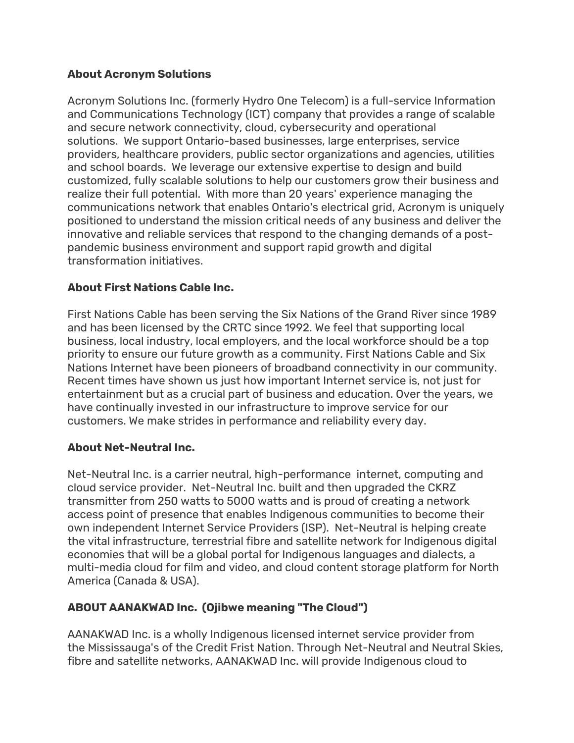### **About Acronym Solutions**

Acronym Solutions Inc. (formerly Hydro One Telecom) is a full-service Information and Communications Technology (ICT) company that provides a range of scalable and secure network connectivity, cloud, cybersecurity and operational solutions. We support Ontario-based businesses, large enterprises, service providers, healthcare providers, public sector organizations and agencies, utilities and school boards. We leverage our extensive expertise to design and build customized, fully scalable solutions to help our customers grow their business and realize their full potential. With more than 20 years' experience managing the communications network that enables Ontario's electrical grid, Acronym is uniquely positioned to understand the mission critical needs of any business and deliver the innovative and reliable services that respond to the changing demands of a postpandemic business environment and support rapid growth and digital transformation initiatives.

## **About First Nations Cable Inc.**

First Nations Cable has been serving the Six Nations of the Grand River since 1989 and has been licensed by the CRTC since 1992. We feel that supporting local business, local industry, local employers, and the local workforce should be a top priority to ensure our future growth as a community. First Nations Cable and Six Nations Internet have been pioneers of broadband connectivity in our community. Recent times have shown us just how important Internet service is, not just for entertainment but as a crucial part of business and education. Over the years, we have continually invested in our infrastructure to improve service for our customers. We make strides in performance and reliability every day.

### **About Net-Neutral Inc.**

Net-Neutral Inc. is a carrier neutral, high-performance internet, computing and cloud service provider. Net-Neutral Inc. built and then upgraded the CKRZ transmitter from 250 watts to 5000 watts and is proud of creating a network access point of presence that enables Indigenous communities to become their own independent Internet Service Providers (ISP). Net-Neutral is helping create the vital infrastructure, terrestrial fibre and satellite network for Indigenous digital economies that will be a global portal for Indigenous languages and dialects, a multi-media cloud for film and video, and cloud content storage platform for North America (Canada & USA).

# **ABOUT AANAKWAD Inc. (Ojibwe meaning "The Cloud")**

AANAKWAD Inc. is a wholly Indigenous licensed internet service provider from the Mississauga's of the Credit Frist Nation. Through Net-Neutral and Neutral Skies, fibre and satellite networks, AANAKWAD Inc. will provide Indigenous cloud to